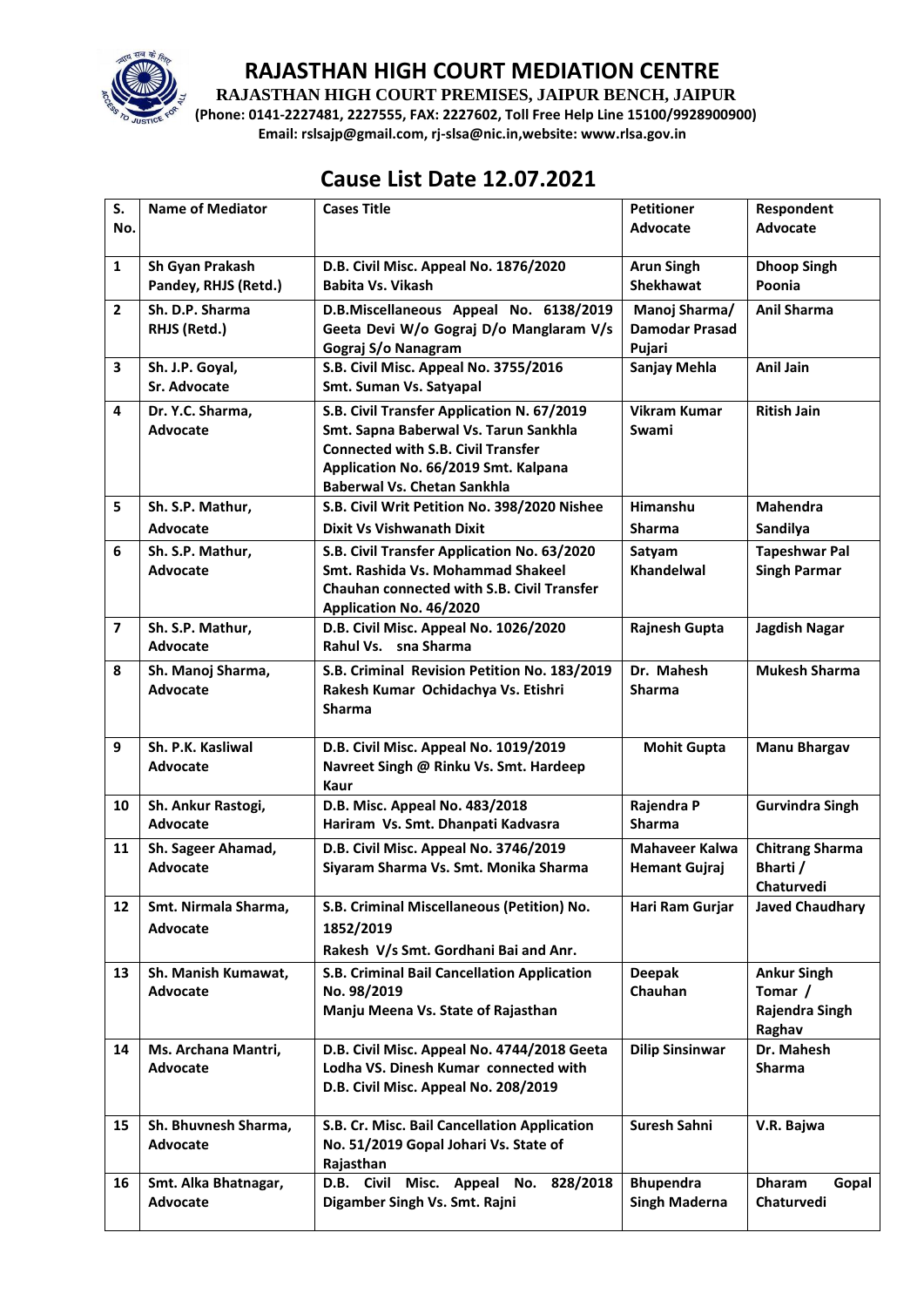

**RAJASTHAN HIGH COURT PREMISES, JAIPUR BENCH, JAIPUR**

**(Phone: 0141-2227481, 2227555, FAX: 2227602, Toll Free Help Line 15100/9928900900) Email: rslsajp@gmail.com, rj-slsa@nic.in,website: www.rlsa.gov.in**

# **Cause List Date 12.07.2021**

| S.<br>No.      | <b>Name of Mediator</b>                         | <b>Cases Title</b>                                                                                                                                                                                             | <b>Petitioner</b><br>Advocate                    | Respondent<br><b>Advocate</b>                             |
|----------------|-------------------------------------------------|----------------------------------------------------------------------------------------------------------------------------------------------------------------------------------------------------------------|--------------------------------------------------|-----------------------------------------------------------|
| $\mathbf{1}$   | Sh Gyan Prakash<br>Pandey, RHJS (Retd.)         | D.B. Civil Misc. Appeal No. 1876/2020<br>Babita Vs. Vikash                                                                                                                                                     | <b>Arun Singh</b><br><b>Shekhawat</b>            | <b>Dhoop Singh</b><br>Poonia                              |
| $\overline{2}$ | Sh. D.P. Sharma<br>RHJS (Retd.)                 | D.B.Miscellaneous Appeal No. 6138/2019<br>Geeta Devi W/o Gograj D/o Manglaram V/s<br>Gograj S/o Nanagram                                                                                                       | Manoj Sharma/<br><b>Damodar Prasad</b><br>Pujari | <b>Anil Sharma</b>                                        |
| 3              | Sh. J.P. Goyal,<br>Sr. Advocate                 | S.B. Civil Misc. Appeal No. 3755/2016<br>Smt. Suman Vs. Satyapal                                                                                                                                               | Sanjay Mehla                                     | Anil Jain                                                 |
| 4              | Dr. Y.C. Sharma.<br><b>Advocate</b>             | S.B. Civil Transfer Application N. 67/2019<br>Smt. Sapna Baberwal Vs. Tarun Sankhla<br><b>Connected with S.B. Civil Transfer</b><br>Application No. 66/2019 Smt. Kalpana<br><b>Baberwal Vs. Chetan Sankhla</b> | <b>Vikram Kumar</b><br>Swami                     | <b>Ritish Jain</b>                                        |
| 5              | Sh. S.P. Mathur,                                | S.B. Civil Writ Petition No. 398/2020 Nishee                                                                                                                                                                   | Himanshu<br><b>Sharma</b>                        | Mahendra                                                  |
| 6              | Advocate<br>Sh. S.P. Mathur,<br><b>Advocate</b> | <b>Dixit Vs Vishwanath Dixit</b><br>S.B. Civil Transfer Application No. 63/2020<br>Smt. Rashida Vs. Mohammad Shakeel<br><b>Chauhan connected with S.B. Civil Transfer</b><br>Application No. 46/2020           | Satyam<br><b>Khandelwal</b>                      | Sandilya<br><b>Tapeshwar Pal</b><br><b>Singh Parmar</b>   |
| $\overline{7}$ | Sh. S.P. Mathur,<br><b>Advocate</b>             | D.B. Civil Misc. Appeal No. 1026/2020<br>Rahul Vs. sna Sharma                                                                                                                                                  | <b>Rajnesh Gupta</b>                             | <b>Jagdish Nagar</b>                                      |
| 8              | Sh. Manoj Sharma,<br><b>Advocate</b>            | S.B. Criminal Revision Petition No. 183/2019<br>Rakesh Kumar Ochidachya Vs. Etishri<br><b>Sharma</b>                                                                                                           | Dr. Mahesh<br><b>Sharma</b>                      | <b>Mukesh Sharma</b>                                      |
| 9              | Sh. P.K. Kasliwal<br><b>Advocate</b>            | D.B. Civil Misc. Appeal No. 1019/2019<br>Navreet Singh @ Rinku Vs. Smt. Hardeep<br>Kaur                                                                                                                        | <b>Mohit Gupta</b>                               | <b>Manu Bhargav</b>                                       |
| 10             | Sh. Ankur Rastogi,<br><b>Advocate</b>           | D.B. Misc. Appeal No. 483/2018<br>Hariram Vs. Smt. Dhanpati Kadvasra                                                                                                                                           | Rajendra P<br><b>Sharma</b>                      | <b>Gurvindra Singh</b>                                    |
| 11             | Sh. Sageer Ahamad,<br><b>Advocate</b>           | D.B. Civil Misc. Appeal No. 3746/2019<br>Siyaram Sharma Vs. Smt. Monika Sharma                                                                                                                                 | <b>Mahaveer Kalwa</b><br><b>Hemant Gujraj</b>    | <b>Chitrang Sharma</b><br>Bharti /<br>Chaturvedi          |
| 12             | Smt. Nirmala Sharma,<br>Advocate                | S.B. Criminal Miscellaneous (Petition) No.<br>1852/2019<br>Rakesh V/s Smt. Gordhani Bai and Anr.                                                                                                               | Hari Ram Gurjar                                  | <b>Javed Chaudhary</b>                                    |
| 13             | Sh. Manish Kumawat,<br><b>Advocate</b>          | S.B. Criminal Bail Cancellation Application<br>No. 98/2019<br>Manju Meena Vs. State of Rajasthan                                                                                                               | <b>Deepak</b><br>Chauhan                         | <b>Ankur Singh</b><br>Tomar /<br>Rajendra Singh<br>Raghav |
| 14             | Ms. Archana Mantri,<br>Advocate                 | D.B. Civil Misc. Appeal No. 4744/2018 Geeta<br>Lodha VS. Dinesh Kumar connected with<br>D.B. Civil Misc. Appeal No. 208/2019                                                                                   | <b>Dilip Sinsinwar</b>                           | Dr. Mahesh<br><b>Sharma</b>                               |
| 15             | Sh. Bhuvnesh Sharma,<br>Advocate                | S.B. Cr. Misc. Bail Cancellation Application<br>No. 51/2019 Gopal Johari Vs. State of<br>Rajasthan                                                                                                             | Suresh Sahni                                     | V.R. Bajwa                                                |
| 16             | Smt. Alka Bhatnagar,<br><b>Advocate</b>         | D.B. Civil Misc. Appeal No.<br>828/2018<br>Digamber Singh Vs. Smt. Rajni                                                                                                                                       | <b>Bhupendra</b><br><b>Singh Maderna</b>         | <b>Dharam</b><br>Gopal<br>Chaturvedi                      |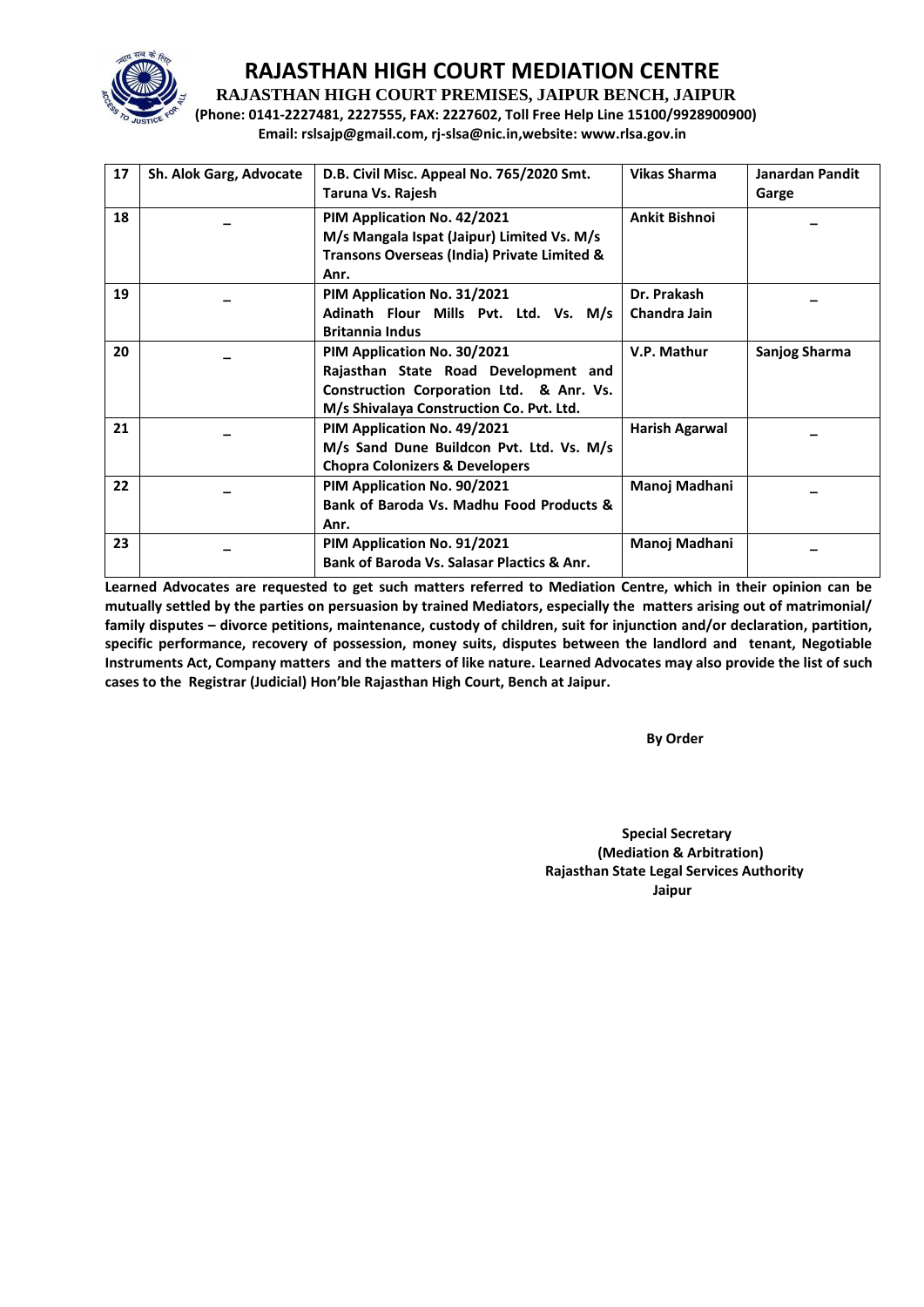

**RAJASTHAN HIGH COURT PREMISES, JAIPUR BENCH, JAIPUR**

**(Phone: 0141-2227481, 2227555, FAX: 2227602, Toll Free Help Line 15100/9928900900) Email: rslsajp@gmail.com, rj-slsa@nic.in,website: www.rlsa.gov.in**

| 17 | Sh. Alok Garg, Advocate | D.B. Civil Misc. Appeal No. 765/2020 Smt.             | <b>Vikas Sharma</b>  | <b>Janardan Pandit</b> |
|----|-------------------------|-------------------------------------------------------|----------------------|------------------------|
|    |                         | Taruna Vs. Rajesh                                     |                      | Garge                  |
| 18 |                         | PIM Application No. 42/2021                           | <b>Ankit Bishnoi</b> |                        |
|    |                         | M/s Mangala Ispat (Jaipur) Limited Vs. M/s            |                      |                        |
|    |                         | Transons Overseas (India) Private Limited &           |                      |                        |
|    |                         | Anr.                                                  |                      |                        |
| 19 |                         | PIM Application No. 31/2021                           | Dr. Prakash          |                        |
|    |                         | Adinath Flour Mills Pvt. Ltd. Vs. M/s                 | Chandra Jain         |                        |
|    |                         | <b>Britannia Indus</b>                                |                      |                        |
| 20 |                         | PIM Application No. 30/2021                           | V.P. Mathur          | Sanjog Sharma          |
|    |                         | Rajasthan State Road Development and                  |                      |                        |
|    |                         | Construction Corporation Ltd. & Anr. Vs.              |                      |                        |
|    |                         | M/s Shivalaya Construction Co. Pvt. Ltd.              |                      |                        |
| 21 |                         | PIM Application No. 49/2021                           | Harish Agarwal       |                        |
|    |                         | M/s Sand Dune Buildcon Pvt. Ltd. Vs. M/s              |                      |                        |
|    |                         | <b>Chopra Colonizers &amp; Developers</b>             |                      |                        |
| 22 |                         | PIM Application No. 90/2021                           | Manoj Madhani        |                        |
|    |                         | Bank of Baroda Vs. Madhu Food Products &              |                      |                        |
|    |                         | Anr.                                                  |                      |                        |
| 23 |                         | PIM Application No. 91/2021                           | Manoj Madhani        |                        |
|    |                         | <b>Bank of Baroda Vs. Salasar Plactics &amp; Anr.</b> |                      |                        |

**Learned Advocates are requested to get such matters referred to Mediation Centre, which in their opinion can be mutually settled by the parties on persuasion by trained Mediators, especially the matters arising out of matrimonial/ family disputes – divorce petitions, maintenance, custody of children, suit for injunction and/or declaration, partition, specific performance, recovery of possession, money suits, disputes between the landlord and tenant, Negotiable Instruments Act, Company matters and the matters of like nature. Learned Advocates may also provide the list of such cases to the Registrar (Judicial) Hon'ble Rajasthan High Court, Bench at Jaipur.** 

 **By Order** 

 **Special Secretary (Mediation & Arbitration) Rajasthan State Legal Services Authority** ا **Jaipur** کان است که از این است که از این است که از این است که از این است که از این است که از این است که از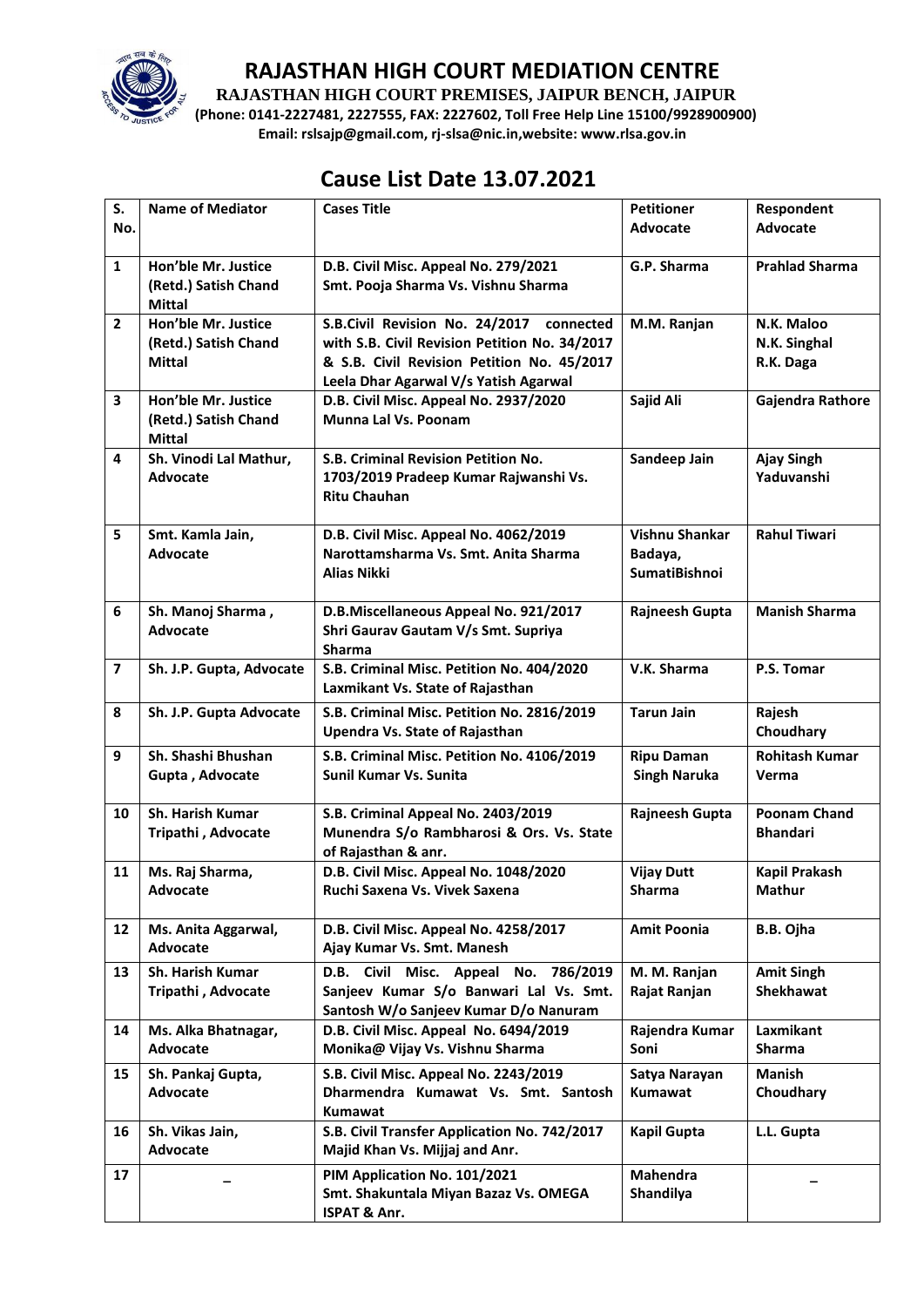

**RAJASTHAN HIGH COURT PREMISES, JAIPUR BENCH, JAIPUR**

**(Phone: 0141-2227481, 2227555, FAX: 2227602, Toll Free Help Line 15100/9928900900) Email: rslsajp@gmail.com, rj-slsa@nic.in,website: www.rlsa.gov.in**

## **Cause List Date 13.07.2021**

| S.             | <b>Name of Mediator</b>  | <b>Cases Title</b>                                                              | <b>Petitioner</b>            | Respondent            |
|----------------|--------------------------|---------------------------------------------------------------------------------|------------------------------|-----------------------|
| No.            |                          |                                                                                 | Advocate                     | <b>Advocate</b>       |
| $\mathbf{1}$   | Hon'ble Mr. Justice      | D.B. Civil Misc. Appeal No. 279/2021                                            | G.P. Sharma                  | <b>Prahlad Sharma</b> |
|                | (Retd.) Satish Chand     | Smt. Pooja Sharma Vs. Vishnu Sharma                                             |                              |                       |
|                | <b>Mittal</b>            |                                                                                 |                              |                       |
| $\overline{2}$ | Hon'ble Mr. Justice      | S.B.Civil Revision No. 24/2017 connected                                        | M.M. Ranjan                  | N.K. Maloo            |
|                | (Retd.) Satish Chand     | with S.B. Civil Revision Petition No. 34/2017                                   |                              | N.K. Singhal          |
|                | <b>Mittal</b>            | & S.B. Civil Revision Petition No. 45/2017                                      |                              | R.K. Daga             |
|                |                          | Leela Dhar Agarwal V/s Yatish Agarwal                                           |                              |                       |
| 3              | Hon'ble Mr. Justice      | D.B. Civil Misc. Appeal No. 2937/2020                                           | Sajid Ali                    | Gajendra Rathore      |
|                | (Retd.) Satish Chand     | Munna Lal Vs. Poonam                                                            |                              |                       |
|                | <b>Mittal</b>            |                                                                                 |                              |                       |
| 4              | Sh. Vinodi Lal Mathur,   | S.B. Criminal Revision Petition No.                                             | Sandeep Jain                 | <b>Ajay Singh</b>     |
|                | <b>Advocate</b>          | 1703/2019 Pradeep Kumar Rajwanshi Vs.                                           |                              | Yaduvanshi            |
|                |                          | <b>Ritu Chauhan</b>                                                             |                              |                       |
| 5              | Smt. Kamla Jain,         | D.B. Civil Misc. Appeal No. 4062/2019                                           | Vishnu Shankar               | <b>Rahul Tiwari</b>   |
|                | <b>Advocate</b>          | Narottamsharma Vs. Smt. Anita Sharma                                            | Badaya,                      |                       |
|                |                          | Alias Nikki                                                                     | <b>SumatiBishnoi</b>         |                       |
|                |                          |                                                                                 |                              |                       |
| 6              | Sh. Manoj Sharma,        | D.B.Miscellaneous Appeal No. 921/2017                                           | Rajneesh Gupta               | <b>Manish Sharma</b>  |
|                | <b>Advocate</b>          | Shri Gaurav Gautam V/s Smt. Supriya                                             |                              |                       |
|                |                          | <b>Sharma</b>                                                                   |                              |                       |
| $\overline{7}$ | Sh. J.P. Gupta, Advocate | S.B. Criminal Misc. Petition No. 404/2020                                       | V.K. Sharma                  | P.S. Tomar            |
|                |                          | Laxmikant Vs. State of Rajasthan                                                |                              |                       |
| 8              | Sh. J.P. Gupta Advocate  | S.B. Criminal Misc. Petition No. 2816/2019                                      | <b>Tarun Jain</b>            | Rajesh                |
|                |                          | Upendra Vs. State of Rajasthan                                                  |                              | Choudhary             |
| 9              | Sh. Shashi Bhushan       | S.B. Criminal Misc. Petition No. 4106/2019                                      | <b>Ripu Daman</b>            | <b>Rohitash Kumar</b> |
|                | Gupta, Advocate          | Sunil Kumar Vs. Sunita                                                          | <b>Singh Naruka</b>          | Verma                 |
|                |                          |                                                                                 |                              |                       |
| 10             | Sh. Harish Kumar         | S.B. Criminal Appeal No. 2403/2019                                              | Rajneesh Gupta               | <b>Poonam Chand</b>   |
|                | Tripathi, Advocate       | Munendra S/o Rambharosi & Ors. Vs. State                                        |                              | <b>Bhandari</b>       |
|                |                          | of Rajasthan & anr.                                                             |                              |                       |
| 11             | Ms. Raj Sharma,          | D.B. Civil Misc. Appeal No. 1048/2020                                           | <b>Vijay Dutt</b>            | <b>Kapil Prakash</b>  |
|                | Advocate                 | Ruchi Saxena Vs. Vivek Saxena                                                   | Sharma                       | Mathur                |
| 12             | Ms. Anita Aggarwal,      | D.B. Civil Misc. Appeal No. 4258/2017                                           | <b>Amit Poonia</b>           | B.B. Ojha             |
|                | Advocate                 | Ajay Kumar Vs. Smt. Manesh                                                      |                              |                       |
|                |                          |                                                                                 |                              |                       |
| 13             | <b>Sh. Harish Kumar</b>  | D.B. Civil Misc. Appeal No. 786/2019                                            | M. M. Ranjan                 | <b>Amit Singh</b>     |
|                | Tripathi, Advocate       | Sanjeev Kumar S/o Banwari Lal Vs. Smt.<br>Santosh W/o Sanjeev Kumar D/o Nanuram | Rajat Ranjan                 | Shekhawat             |
| 14             | Ms. Alka Bhatnagar,      | D.B. Civil Misc. Appeal No. 6494/2019                                           | Rajendra Kumar               | Laxmikant             |
|                | <b>Advocate</b>          | Monika@ Vijay Vs. Vishnu Sharma                                                 | Soni                         | Sharma                |
|                |                          |                                                                                 |                              |                       |
| 15             | Sh. Pankaj Gupta,        | S.B. Civil Misc. Appeal No. 2243/2019                                           | Satya Narayan                | <b>Manish</b>         |
|                | Advocate                 | Dharmendra Kumawat Vs. Smt. Santosh<br>Kumawat                                  | Kumawat                      | Choudhary             |
| 16             | Sh. Vikas Jain,          | S.B. Civil Transfer Application No. 742/2017                                    | Kapil Gupta                  | L.L. Gupta            |
|                | Advocate                 | Majid Khan Vs. Mijjaj and Anr.                                                  |                              |                       |
|                |                          |                                                                                 |                              |                       |
| 17             |                          | PIM Application No. 101/2021<br>Smt. Shakuntala Miyan Bazaz Vs. OMEGA           | <b>Mahendra</b><br>Shandilya |                       |
|                |                          | <b>ISPAT &amp; Anr.</b>                                                         |                              |                       |